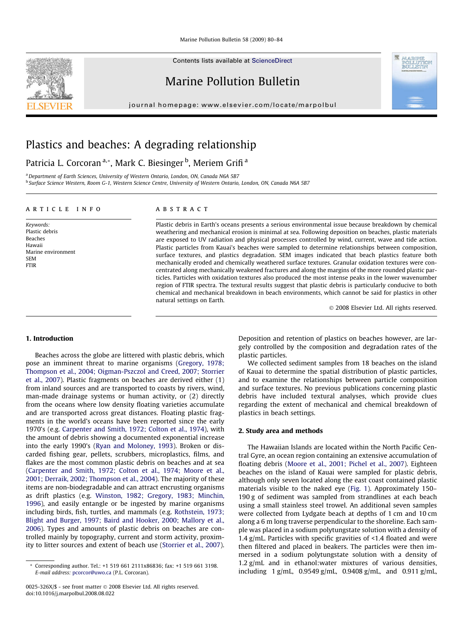Contents lists available at [ScienceDirect](http://www.sciencedirect.com/science/journal/0025326X)

## Marine Pollution Bulletin

journal homepage: [www.elsevier.com/locate/marpolbul](http://www.elsevier.com/locate/marpolbul)

# Plastics and beaches: A degrading relationship

### Patricia L. Corcoran <sup>a,</sup>\*, Mark C. Biesinger <sup>b</sup>, Meriem Grifi <sup>a</sup>

<sup>a</sup> Department of Earth Sciences, University of Western Ontario, London, ON, Canada N6A 5B7 <sup>b</sup> Surface Science Western, Room G-1, Western Science Centre, University of Western Ontario, London, ON, Canada N6A 5B7

#### article info

Keywords: Plastic debris Beaches Hawaii Marine environment SEM FTIR

#### ABSTRACT

Plastic debris in Earth's oceans presents a serious environmental issue because breakdown by chemical weathering and mechanical erosion is minimal at sea. Following deposition on beaches, plastic materials are exposed to UV radiation and physical processes controlled by wind, current, wave and tide action. Plastic particles from Kauai's beaches were sampled to determine relationships between composition, surface textures, and plastics degradation. SEM images indicated that beach plastics feature both mechanically eroded and chemically weathered surface textures. Granular oxidation textures were concentrated along mechanically weakened fractures and along the margins of the more rounded plastic particles. Particles with oxidation textures also produced the most intense peaks in the lower wavenumber region of FTIR spectra. The textural results suggest that plastic debris is particularly conducive to both chemical and mechanical breakdown in beach environments, which cannot be said for plastics in other natural settings on Earth.

- 2008 Elsevier Ltd. All rights reserved.

**A TO TEST** POILLUIM<br>buni i ibritir

#### 1. Introduction

Beaches across the globe are littered with plastic debris, which pose an imminent threat to marine organisms [\(Gregory, 1978;](#page-3-0) [Thompson et al., 2004; Oigman-Pszczol and Creed, 2007; Storrier](#page-3-0) [et al., 2007](#page-3-0)). Plastic fragments on beaches are derived either (1) from inland sources and are transported to coasts by rivers, wind, man-made drainage systems or human activity, or (2) directly from the oceans where low density floating varieties accumulate and are transported across great distances. Floating plastic fragments in the world's oceans have been reported since the early 1970's (e.g. [Carpenter and Smith, 1972; Colton et al., 1974](#page-3-0)), with the amount of debris showing a documented exponential increase into the early 1990's [\(Ryan and Moloney, 1993](#page-4-0)). Broken or discarded fishing gear, pellets, scrubbers, microplastics, films, and flakes are the most common plastic debris on beaches and at sea ([Carpenter and Smith, 1972; Colton et al., 1974; Moore et al.,](#page-3-0) [2001; Derraik, 2002; Thompson et al., 2004](#page-3-0)). The majority of these items are non-biodegradable and can attract encrusting organisms as drift plastics (e.g. [Winston, 1982; Gregory, 1983; Minchin,](#page-4-0) [1996\)](#page-4-0), and easily entangle or be ingested by marine organisms including birds, fish, turtles, and mammals (e.g. [Rothstein, 1973;](#page-4-0) [Blight and Burger, 1997; Baird and Hooker, 2000; Mallory et al.,](#page-4-0) [2006\)](#page-4-0). Types and amounts of plastic debris on beaches are controlled mainly by topography, current and storm activity, proximity to litter sources and extent of beach use [\(Storrier et al., 2007\)](#page-4-0). Deposition and retention of plastics on beaches however, are largely controlled by the composition and degradation rates of the plastic particles.

We collected sediment samples from 18 beaches on the island of Kauai to determine the spatial distribution of plastic particles, and to examine the relationships between particle composition and surface textures. No previous publications concerning plastic debris have included textural analyses, which provide clues regarding the extent of mechanical and chemical breakdown of plastics in beach settings.

#### 2. Study area and methods

The Hawaiian Islands are located within the North Pacific Central Gyre, an ocean region containing an extensive accumulation of floating debris ([Moore et al., 2001; Pichel et al., 2007](#page-4-0)). Eighteen beaches on the island of Kauai were sampled for plastic debris, although only seven located along the east coast contained plastic materials visible to the naked eye [\(Fig. 1](#page-1-0)). Approximately 150– 190 g of sediment was sampled from strandlines at each beach using a small stainless steel trowel. An additional seven samples were collected from Lydgate beach at depths of 1 cm and 10 cm along a 6 m long traverse perpendicular to the shoreline. Each sample was placed in a sodium polytungstate solution with a density of 1.4 g/mL. Particles with specific gravities of <1.4 floated and were then filtered and placed in beakers. The particles were then immersed in a sodium polytungstate solution with a density of 1.2 g/mL and in ethanol:water mixtures of various densities, including  $1$  g/mL,  $0.9549$  g/mL,  $0.9408$  g/mL, and  $0.911$  g/mL,



<sup>\*</sup> Corresponding author. Tel.: +1 519 661 2111x86836; fax: +1 519 661 3198. E-mail address: [pcorcor@uwo.ca](mailto:pcorcor@uwo.ca) (P.L. Corcoran).

<sup>0025-326</sup>X/\$ - see front matter © 2008 Elsevier Ltd. All rights reserved. doi:10.1016/j.marpolbul.2008.08.022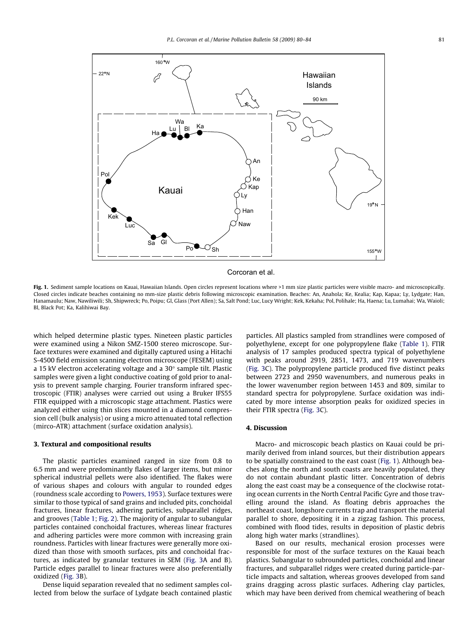<span id="page-1-0"></span>

Corcoran et al.

Fig. 1. Sediment sample locations on Kauai, Hawaiian Islands. Open circles represent locations where >1 mm size plastic particles were visible macro- and microscopically. Closed circles indicate beaches containing no mm-size plastic debris following microscopic examination. Beaches: An, Anahola; Ke, Kealia; Kap, Kapaa; Ly, Lydgate; Han, Hanamaulu; Naw, Nawiliwili; Sh, Shipwreck; Po, Poipu; Gl, Glass (Port Allen); Sa, Salt Pond; Luc, Lucy Wright; Kek, Kekaha; Pol, Polihale; Ha, Haena; Lu, Lumahai; Wa, Waioli; Bl, Black Pot; Ka, Kalihiwai Bay.

which helped determine plastic types. Nineteen plastic particles were examined using a Nikon SMZ-1500 stereo microscope. Surface textures were examined and digitally captured using a Hitachi S-4500 field emission scanning electron microscope (FESEM) using a 15 kV electron accelerating voltage and a  $30^{\circ}$  sample tilt. Plastic samples were given a light conductive coating of gold prior to analysis to prevent sample charging. Fourier transform infrared spectroscopic (FTIR) analyses were carried out using a Bruker IFS55 FTIR equipped with a microscopic stage attachment. Plastics were analyzed either using thin slices mounted in a diamond compression cell (bulk analysis) or using a micro attenuated total reflection (mirco-ATR) attachment (surface oxidation analysis).

#### 3. Textural and compositional results

The plastic particles examined ranged in size from 0.8 to 6.5 mm and were predominantly flakes of larger items, but minor spherical industrial pellets were also identified. The flakes were of various shapes and colours with angular to rounded edges (roundness scale according to [Powers, 1953](#page-4-0)). Surface textures were similar to those typical of sand grains and included pits, conchoidal fractures, linear fractures, adhering particles, subparallel ridges, and grooves ([Table 1](#page-2-0); [Fig. 2\)](#page-2-0). The majority of angular to subangular particles contained conchoidal fractures, whereas linear fractures and adhering particles were more common with increasing grain roundness. Particles with linear fractures were generally more oxidized than those with smooth surfaces, pits and conchoidal fractures, as indicated by granular textures in SEM [\(Fig. 3A](#page-3-0) and B). Particle edges parallel to linear fractures were also preferentially oxidized [\(Fig. 3B](#page-3-0)).

Dense liquid separation revealed that no sediment samples collected from below the surface of Lydgate beach contained plastic particles. All plastics sampled from strandlines were composed of polyethylene, except for one polypropylene flake ([Table 1\)](#page-2-0). FTIR analysis of 17 samples produced spectra typical of polyethylene with peaks around 2919, 2851, 1473, and 719 wavenumbers ([Fig. 3](#page-3-0)C). The polypropylene particle produced five distinct peaks between 2723 and 2950 wavenumbers, and numerous peaks in the lower wavenumber region between 1453 and 809, similar to standard spectra for polypropylene. Surface oxidation was indicated by more intense absorption peaks for oxidized species in their FTIR spectra [\(Fig. 3C](#page-3-0)).

#### 4. Discussion

Macro- and microscopic beach plastics on Kauai could be primarily derived from inland sources, but their distribution appears to be spatially constrained to the east coast (Fig. 1). Although beaches along the north and south coasts are heavily populated, they do not contain abundant plastic litter. Concentration of debris along the east coast may be a consequence of the clockwise rotating ocean currents in the North Central Pacific Gyre and those travelling around the island. As floating debris approaches the northeast coast, longshore currents trap and transport the material parallel to shore, depositing it in a zigzag fashion. This process, combined with flood tides, results in deposition of plastic debris along high water marks (strandlines).

Based on our results, mechanical erosion processes were responsible for most of the surface textures on the Kauai beach plastics. Subangular to subrounded particles, conchoidal and linear fractures, and subparallel ridges were created during particle-particle impacts and saltation, whereas grooves developed from sand grains dragging across plastic surfaces. Adhering clay particles, which may have been derived from chemical weathering of beach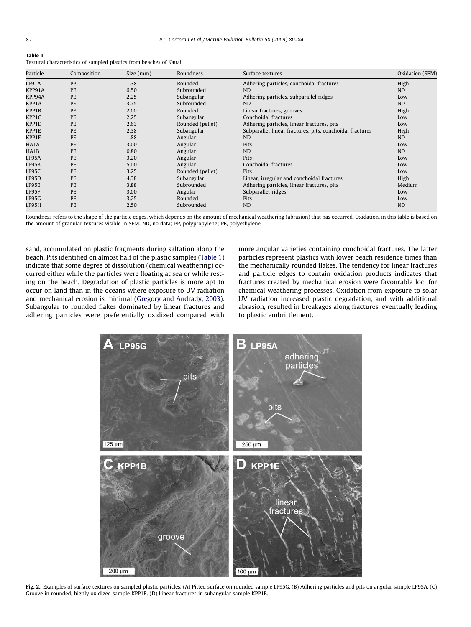<span id="page-2-0"></span>Table 1

| Particle    | Composition | Size (mm) | Roundness        | Surface textures                                         | Oxidation (SEM) |
|-------------|-------------|-----------|------------------|----------------------------------------------------------|-----------------|
| LP91A       | PP          | 1.38      | Rounded          | Adhering particles, conchoidal fractures                 | High            |
| KPP91A      | PE          | 6.50      | Subrounded       | ND.                                                      | <b>ND</b>       |
| KPP94A      | PE          | 2.25      | Subangular       | Adhering particles, subparallel ridges                   | Low             |
| KPP1A       | PE          | 3.75      | Subrounded       | N <sub>D</sub>                                           | <b>ND</b>       |
| KPP1B       | PE          | 2.00      | Rounded          | Linear fractures, grooves                                | High            |
| KPP1C       | PE          | 2.25      | Subangular       | Conchoidal fractures                                     | Low             |
| KPP1D       | PE          | 2.63      | Rounded (pellet) | Adhering particles, linear fractures, pits               | Low             |
| KPP1E       | PE          | 2.38      | Subangular       | Subparallel linear fractures, pits, conchoidal fractures | High            |
| KPP1F       | PE          | 1.88      | Angular          | <b>ND</b>                                                | ND              |
| HA1A        | PE          | 3.00      | Angular          | Pits                                                     | Low             |
| HA1B        | PE          | 0.80      | Angular          | <b>ND</b>                                                | <b>ND</b>       |
| LP95A       | PE          | 3.20      | Angular          | Pits                                                     | Low             |
| LP95B       | PE          | 5.00      | Angular          | Conchoidal fractures                                     | Low             |
| LP95C       | PE          | 3.25      | Rounded (pellet) | <b>Pits</b>                                              | Low             |
| LP95D       | PE.         | 4.38      | Subangular       | Linear, irregular and conchoidal fractures               | High            |
| LP95E       | PE          | 3.88      | Subrounded       | Adhering particles, linear fractures, pits               | Medium          |
| LP95F       | PE          | 3.00      | Angular          | Subparallel ridges                                       | Low             |
| $L$ P $95G$ | PE          | 3.25      | Rounded          | <b>Pits</b>                                              | Low             |
| LP95H       | PE          | 2.50      | Subrounded       | <b>ND</b>                                                | <b>ND</b>       |

Roundness refers to the shape of the particle edges, which depends on the amount of mechanical weathering (abrasion) that has occurred. Oxidation, in this table is based on the amount of granular textures visible in SEM. ND, no data; PP, polypropylene; PE, polyethylene.

sand, accumulated on plastic fragments during saltation along the beach. Pits identified on almost half of the plastic samples (Table 1) indicate that some degree of dissolution (chemical weathering) occurred either while the particles were floating at sea or while resting on the beach. Degradation of plastic particles is more apt to occur on land than in the oceans where exposure to UV radiation and mechanical erosion is minimal [\(Gregory and Andrady, 2003\)](#page-3-0). Subangular to rounded flakes dominated by linear fractures and adhering particles were preferentially oxidized compared with

Textural characteristics of sampled plastics from beaches of Kauai

more angular varieties containing conchoidal fractures. The latter particles represent plastics with lower beach residence times than the mechanically rounded flakes. The tendency for linear fractures and particle edges to contain oxidation products indicates that fractures created by mechanical erosion were favourable loci for chemical weathering processes. Oxidation from exposure to solar UV radiation increased plastic degradation, and with additional abrasion, resulted in breakages along fractures, eventually leading to plastic embrittlement.



Fig. 2. Examples of surface textures on sampled plastic particles. (A) Pitted surface on rounded sample LP95G. (B) Adhering particles and pits on angular sample LP95A. (C) Groove in rounded, highly oxidized sample KPP1B. (D) Linear fractures in subangular sample KPP1E.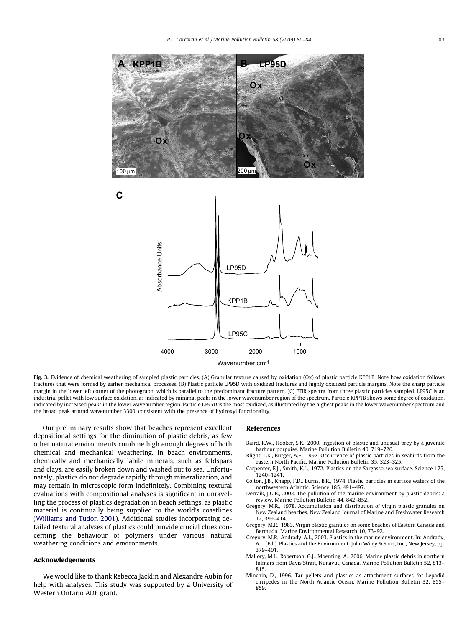<span id="page-3-0"></span>

Fig. 3. Evidence of chemical weathering of sampled plastic particles. (A) Granular texture caused by oxidation (Ox) of plastic particle KPP1B. Note how oxidation follows fractures that were formed by earlier mechanical processes. (B) Plastic particle LP95D with oxidized fractures and highly oxidized particle margins. Note the sharp particle margin in the lower left corner of the photograph, which is parallel to the predominant fracture pattern. (C) FTIR spectra from three plastic particles sampled. LP95C is an industrial pellet with low surface oxidation, as indicated by minimal peaks in the lower wavenumber region of the spectrum. Particle KPP1B shows some degree of oxidation, indicated by increased peaks in the lower wavenumber region. Particle LP95D is the most oxidized, as illustrated by the highest peaks in the lower wavenumber spectrum and the broad peak around wavenumber 3300, consistent with the presence of hydroxyl functionality.

Our preliminary results show that beaches represent excellent depositional settings for the diminution of plastic debris, as few other natural environments combine high enough degrees of both chemical and mechanical weathering. In beach environments, chemically and mechanically labile minerals, such as feldspars and clays, are easily broken down and washed out to sea. Unfortunately, plastics do not degrade rapidly through mineralization, and may remain in microscopic form indefinitely. Combining textural evaluations with compositional analyses is significant in unravelling the process of plastics degradation in beach settings, as plastic material is continually being supplied to the world's coastlines ([Williams and Tudor, 2001](#page-4-0)). Additional studies incorporating detailed textural analyses of plastics could provide crucial clues concerning the behaviour of polymers under various natural weathering conditions and environments.

#### Acknowledgements

We would like to thank Rebecca Jacklin and Alexandre Aubin for help with analyses. This study was supported by a University of Western Ontario ADF grant.

#### References

- Baird, R.W., Hooker, S.K., 2000. Ingestion of plastic and unusual prey by a juvenile harbour porpoise. Marine Pollution Bulletin 40, 719–720.
- Blight, L.K., Burger, A.E., 1997. Occurrence of plastic particles in seabirds from the eastern North Pacific. Marine Pollution Bulletin 35, 323–325. Carpenter, E.J., Smith, K.L., 1972. Plastics on the Sargasso sea surface. Science 175,
- 1240–1241.
- Colton, J.B., Knapp, F.D., Burns, B.R., 1974. Plastic particles in surface waters of the northwestern Atlantic. Science 185, 491–497.
- Derraik, J.G.B., 2002. The pollution of the marine environment by plastic debris: a review. Marine Pollution Bulletin 44, 842–852.
- Gregory, M.R., 1978. Accumulation and distribution of virgin plastic granules on New Zealand beaches. New Zealand Journal of Marine and Freshwater Research 12, 399–414.
- Gregory, M.R., 1983. Virgin plastic granules on some beaches of Eastern Canada and Bermuda. Marine Environmental Research 10, 73–92.
- Gregory, M.R., Andrady, A.L., 2003. Plastics in the marine environment. In: Andrady, A.L. (Ed.), Plastics and the Environment. John Wiley & Sons, Inc., New Jersey, pp. 379–401.
- Mallory, M.L., Robertson, G.J., Moenting, A., 2006. Marine plastic debris in northern fulmars from Davis Strait, Nunavut, Canada. Marine Pollution Bulletin 52, 813– 815.
- Minchin, D., 1996. Tar pellets and plastics as attachment surfaces for Lepadid cirripedes in the North Atlantic Ocean. Marine Pollution Bulletin 32, 855– 859.